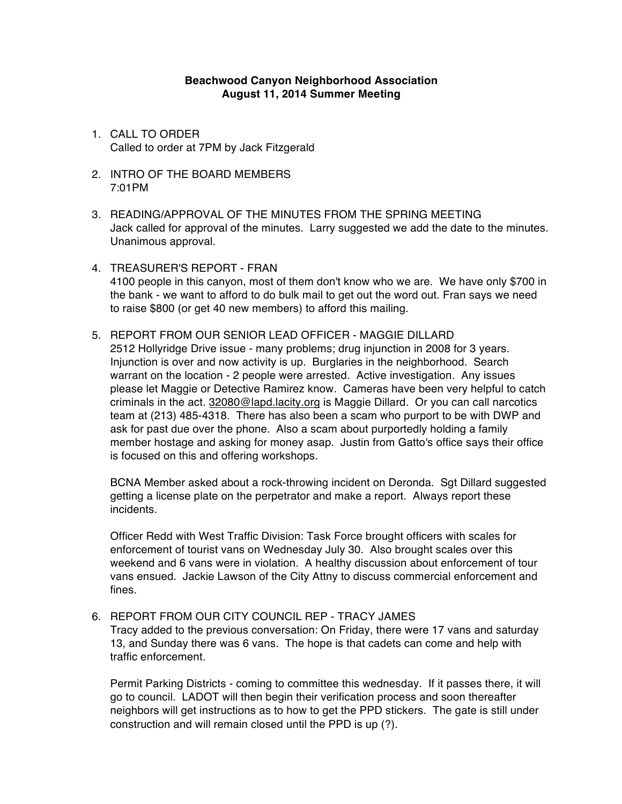## **Beachwood Canyon Neighborhood Association August 11, 2014 Summer Meeting**

- 1. CALL TO ORDER Called to order at 7PM by Jack Fitzgerald
- 2. INTRO OF THE BOARD MEMBERS 7:01PM
- 3. READING/APPROVAL OF THE MINUTES FROM THE SPRING MEETING Jack called for approval of the minutes. Larry suggested we add the date to the minutes. Unanimous approval.
- 4. TREASURER'S REPORT FRAN 4100 people in this canyon, most of them don't know who we are. We have only \$700 in the bank - we want to afford to do bulk mail to get out the word out. Fran says we need to raise \$800 (or get 40 new members) to afford this mailing.
- 5. REPORT FROM OUR SENIOR LEAD OFFICER MAGGIE DILLARD

2512 Hollyridge Drive issue - many problems; drug injunction in 2008 for 3 years. Injunction is over and now activity is up. Burglaries in the neighborhood. Search warrant on the location - 2 people were arrested. Active investigation. Any issues please let Maggie or Detective Ramirez know. Cameras have been very helpful to catch criminals in the act. 32080@lapd.lacity.org is Maggie Dillard. Or you can call narcotics team at (213) 485-4318. There has also been a scam who purport to be with DWP and ask for past due over the phone. Also a scam about purportedly holding a family member hostage and asking for money asap. Justin from Gatto's office says their office is focused on this and offering workshops.

BCNA Member asked about a rock-throwing incident on Deronda. Sgt Dillard suggested getting a license plate on the perpetrator and make a report. Always report these incidents.

Officer Redd with West Traffic Division: Task Force brought officers with scales for enforcement of tourist vans on Wednesday July 30. Also brought scales over this weekend and 6 vans were in violation. A healthy discussion about enforcement of tour vans ensued. Jackie Lawson of the City Attny to discuss commercial enforcement and fines.

## 6. REPORT FROM OUR CITY COUNCIL REP - TRACY JAMES

Tracy added to the previous conversation: On Friday, there were 17 vans and saturday 13, and Sunday there was 6 vans. The hope is that cadets can come and help with traffic enforcement.

Permit Parking Districts - coming to committee this wednesday. If it passes there, it will go to council. LADOT will then begin their verification process and soon thereafter neighbors will get instructions as to how to get the PPD stickers. The gate is still under construction and will remain closed until the PPD is up (?).